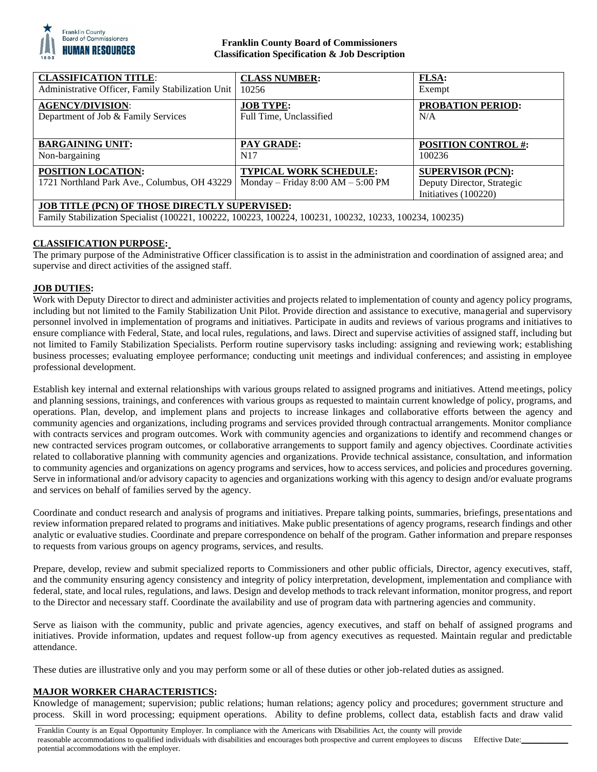

## **Franklin County Board of Commissioners Classification Specification & Job Description**

| <b>CLASSIFICATION TITLE:</b>                                                                                                                                    | <b>CLASS NUMBER:</b>                                                   | FLSA:                                                                          |
|-----------------------------------------------------------------------------------------------------------------------------------------------------------------|------------------------------------------------------------------------|--------------------------------------------------------------------------------|
| Administrative Officer, Family Stabilization Unit                                                                                                               | 10256                                                                  | Exempt                                                                         |
| <b>AGENCY/DIVISION:</b>                                                                                                                                         | <b>JOB TYPE:</b>                                                       | PROBATION PERIOD:                                                              |
| Department of Job & Family Services                                                                                                                             | Full Time, Unclassified                                                | N/A                                                                            |
| <b>BARGAINING UNIT:</b>                                                                                                                                         | PAY GRADE:                                                             | <b>POSITION CONTROL #:</b>                                                     |
| Non-bargaining                                                                                                                                                  | N17                                                                    | 100236                                                                         |
| <b>POSITION LOCATION:</b><br>1721 Northland Park Ave., Columbus, OH 43229                                                                                       | <b>TYPICAL WORK SCHEDULE:</b><br>Monday – Friday $8:00$ AM – $5:00$ PM | <b>SUPERVISOR (PCN):</b><br>Deputy Director, Strategic<br>Initiatives (100220) |
| <b>JOB TITLE (PCN) OF THOSE DIRECTLY SUPERVISED:</b><br>Family Stabilization Specialist (100221, 100222, 100223, 100224, 100231, 100232, 10233, 100234, 100235) |                                                                        |                                                                                |

# **CLASSIFICATION PURPOSE:**

The primary purpose of the Administrative Officer classification is to assist in the administration and coordination of assigned area; and supervise and direct activities of the assigned staff.

## **JOB DUTIES:**

Work with Deputy Director to direct and administer activities and projects related to implementation of county and agency policy programs, including but not limited to the Family Stabilization Unit Pilot. Provide direction and assistance to executive, managerial and supervisory personnel involved in implementation of programs and initiatives. Participate in audits and reviews of various programs and initiatives to ensure compliance with Federal, State, and local rules, regulations, and laws. Direct and supervise activities of assigned staff, including but not limited to Family Stabilization Specialists. Perform routine supervisory tasks including: assigning and reviewing work; establishing business processes; evaluating employee performance; conducting unit meetings and individual conferences; and assisting in employee professional development.

Establish key internal and external relationships with various groups related to assigned programs and initiatives. Attend meetings, policy and planning sessions, trainings, and conferences with various groups as requested to maintain current knowledge of policy, programs, and operations. Plan, develop, and implement plans and projects to increase linkages and collaborative efforts between the agency and community agencies and organizations, including programs and services provided through contractual arrangements. Monitor compliance with contracts services and program outcomes. Work with community agencies and organizations to identify and recommend changes or new contracted services program outcomes, or collaborative arrangements to support family and agency objectives. Coordinate activities related to collaborative planning with community agencies and organizations. Provide technical assistance, consultation, and information to community agencies and organizations on agency programs and services, how to access services, and policies and procedures governing. Serve in informational and/or advisory capacity to agencies and organizations working with this agency to design and/or evaluate programs and services on behalf of families served by the agency.

Coordinate and conduct research and analysis of programs and initiatives. Prepare talking points, summaries, briefings, presentations and review information prepared related to programs and initiatives. Make public presentations of agency programs, research findings and other analytic or evaluative studies. Coordinate and prepare correspondence on behalf of the program. Gather information and prepare responses to requests from various groups on agency programs, services, and results.

Prepare, develop, review and submit specialized reports to Commissioners and other public officials, Director, agency executives, staff, and the community ensuring agency consistency and integrity of policy interpretation, development, implementation and compliance with federal, state, and local rules, regulations, and laws. Design and develop methods to track relevant information, monitor progress, and report to the Director and necessary staff. Coordinate the availability and use of program data with partnering agencies and community.

Serve as liaison with the community, public and private agencies, agency executives, and staff on behalf of assigned programs and initiatives. Provide information, updates and request follow-up from agency executives as requested. Maintain regular and predictable attendance.

These duties are illustrative only and you may perform some or all of these duties or other job-related duties as assigned.

## **MAJOR WORKER CHARACTERISTICS:**

Knowledge of management; supervision; public relations; human relations; agency policy and procedures; government structure and process. Skill in word processing; equipment operations. Ability to define problems, collect data, establish facts and draw valid